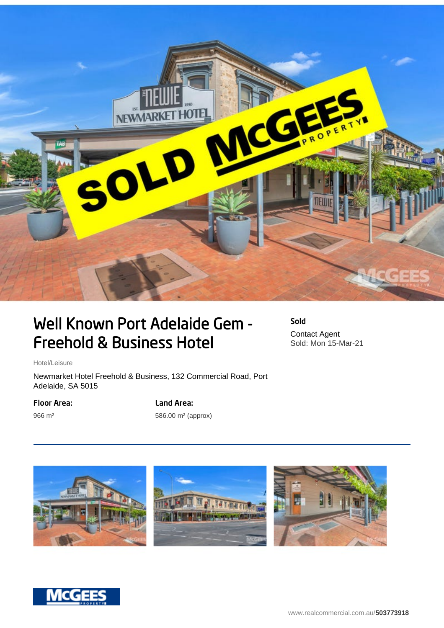

## Well Known Port Adelaide Gem - Freehold & Business Hotel

Sold Contact Agent Sold: Mon 15-Mar-21

Hotel/Leisure

Newmarket Hotel Freehold & Business, 132 Commercial Road, Port Adelaide, SA 5015

Floor Area:

966 m²

Land Area:

586.00 m² (approx)